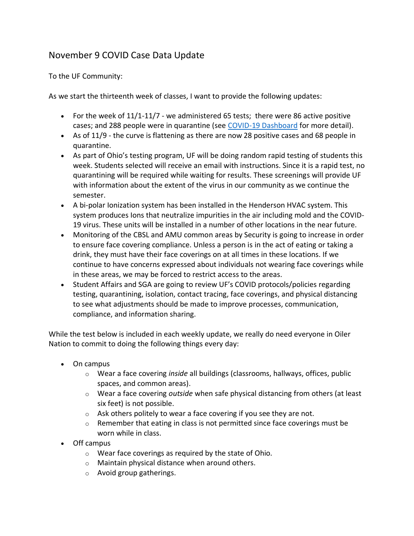## November 9 COVID Case Data Update

To the UF Community:

As we start the thirteenth week of classes, I want to provide the following updates:

- For the week of  $11/1$ - $11/7$  we administered 65 tests; there were 86 active positive cases; and 288 people were in quarantine (see [COVID-19 Dashboard](https://www.findlay.edu/oiler-start-safe-and-stay-safe/covid-dashboard) for more detail).
- As of 11/9 the curve is flattening as there are now 28 positive cases and 68 people in quarantine.
- As part of Ohio's testing program, UF will be doing random rapid testing of students this week. Students selected will receive an email with instructions. Since it is a rapid test, no quarantining will be required while waiting for results. These screenings will provide UF with information about the extent of the virus in our community as we continue the semester.
- A bi-polar Ionization system has been installed in the Henderson HVAC system. This system produces Ions that neutralize impurities in the air including mold and the COVID-19 virus. These units will be installed in a number of other locations in the near future.
- Monitoring of the CBSL and AMU common areas by Security is going to increase in order to ensure face covering compliance. Unless a person is in the act of eating or taking a drink, they must have their face coverings on at all times in these locations. If we continue to have concerns expressed about individuals not wearing face coverings while in these areas, we may be forced to restrict access to the areas.
- Student Affairs and SGA are going to review UF's COVID protocols/policies regarding testing, quarantining, isolation, contact tracing, face coverings, and physical distancing to see what adjustments should be made to improve processes, communication, compliance, and information sharing.

While the test below is included in each weekly update, we really do need everyone in Oiler Nation to commit to doing the following things every day:

- On campus
	- o Wear a face covering *inside* all buildings (classrooms, hallways, offices, public spaces, and common areas).
	- o Wear a face covering *outside* when safe physical distancing from others (at least six feet) is not possible.
	- $\circ$  Ask others politely to wear a face covering if you see they are not.
	- $\circ$  Remember that eating in class is not permitted since face coverings must be worn while in class.
- Off campus
	- o Wear face coverings as required by the state of Ohio.
	- o Maintain physical distance when around others.
	- o Avoid group gatherings.